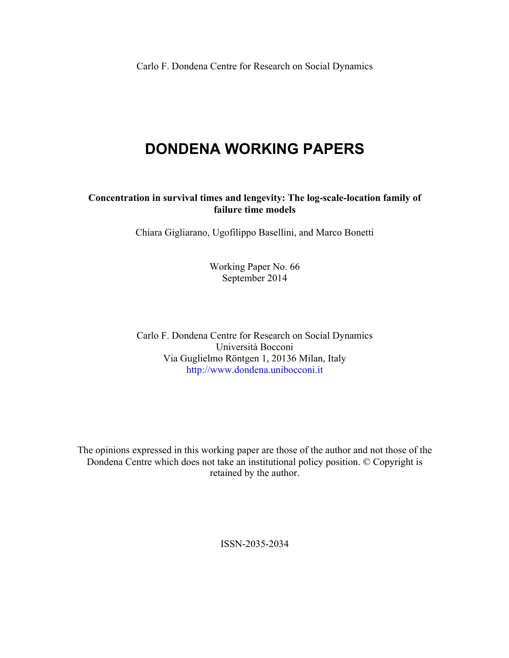Carlo F. Dondena Centre for Research on Social Dynamics

## **DONDENA WORKING PAPERS**

### **Concentration in survival times and lengevity: The log-scale-location family of failure time models**

Chiara Gigliarano, Ugofilippo Basellini, and Marco Bonetti

Working Paper No. 66 September 2014

Carlo F. Dondena Centre for Research on Social Dynamics Università Bocconi Via Guglielmo Röntgen 1, 20136 Milan, Italy http://www.dondena.unibocconi.it

The opinions expressed in this working paper are those of the author and not those of the Dondena Centre which does not take an institutional policy position. © Copyright is retained by the author.

ISSN-2035-2034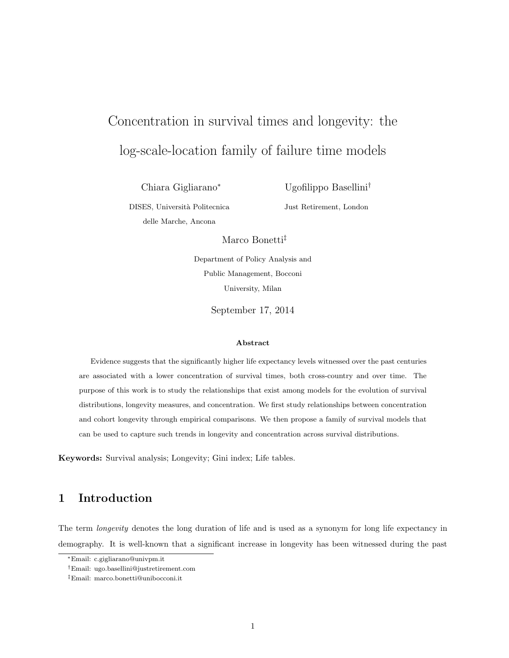# Concentration in survival times and longevity: the log-scale-location family of failure time models

Chiara Gigliarano<sup>\*</sup>

Ugofilippo Basellini*†*

DISES, Università Politecnica delle Marche, Ancona

Just Retirement, London

Marco Bonetti*‡*

Department of Policy Analysis and Public Management, Bocconi University, Milan

September 17, 2014

#### Abstract

Evidence suggests that the significantly higher life expectancy levels witnessed over the past centuries are associated with a lower concentration of survival times, both cross-country and over time. The purpose of this work is to study the relationships that exist among models for the evolution of survival distributions, longevity measures, and concentration. We first study relationships between concentration and cohort longevity through empirical comparisons. We then propose a family of survival models that can be used to capture such trends in longevity and concentration across survival distributions.

Keywords: Survival analysis; Longevity; Gini index; Life tables.

## 1 Introduction

The term *longevity* denotes the long duration of life and is used as a synonym for long life expectancy in demography. It is well-known that a significant increase in longevity has been witnessed during the past

<sup>⇤</sup>Email: c.gigliarano@univpm.it

*<sup>†</sup>*Email: ugo.basellini@justretirement.com

*<sup>‡</sup>*Email: marco.bonetti@unibocconi.it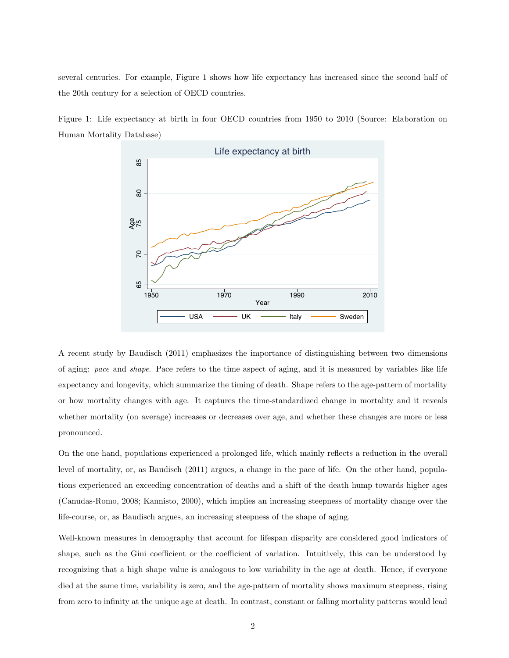several centuries. For example, Figure 1 shows how life expectancy has increased since the second half of the 20th century for a selection of OECD countries.

Figure 1: Life expectancy at birth in four OECD countries from 1950 to 2010 (Source: Elaboration on Human Mortality Database)



A recent study by Baudisch (2011) emphasizes the importance of distinguishing between two dimensions of aging: *pace* and *shape*. Pace refers to the time aspect of aging, and it is measured by variables like life expectancy and longevity, which summarize the timing of death. Shape refers to the age-pattern of mortality or how mortality changes with age. It captures the time-standardized change in mortality and it reveals whether mortality (on average) increases or decreases over age, and whether these changes are more or less pronounced.

On the one hand, populations experienced a prolonged life, which mainly reflects a reduction in the overall level of mortality, or, as Baudisch (2011) argues, a change in the pace of life. On the other hand, populations experienced an exceeding concentration of deaths and a shift of the death hump towards higher ages (Canudas-Romo, 2008; Kannisto, 2000), which implies an increasing steepness of mortality change over the life-course, or, as Baudisch argues, an increasing steepness of the shape of aging.

Well-known measures in demography that account for lifespan disparity are considered good indicators of shape, such as the Gini coefficient or the coefficient of variation. Intuitively, this can be understood by recognizing that a high shape value is analogous to low variability in the age at death. Hence, if everyone died at the same time, variability is zero, and the age-pattern of mortality shows maximum steepness, rising from zero to infinity at the unique age at death. In contrast, constant or falling mortality patterns would lead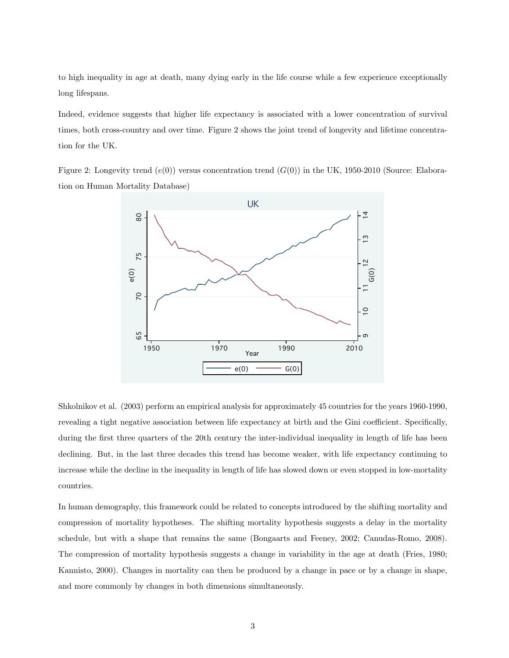to high inequality in age at death, many dying early in the life course while a few experience exceptionally long lifespans.

Indeed, evidence suggests that higher life expectancy is associated with a lower concentration of survival times, both cross-country and over time. Figure 2 shows the joint trend of longevity and lifetime concentration for the UK.

Figure 2: Longevity trend  $(e(0))$  versus concentration trend  $(G(0))$  in the UK, 1950-2010 (Source: Elaboration on Human Mortality Database)



Shkolnikov et al. (2003) perform an empirical analysis for approximately 45 countries for the years 1960-1990, revealing a tight negative association between life expectancy at birth and the Gini coefficient. Specifically, during the first three quarters of the 20th century the inter-individual inequality in length of life has been declining. But, in the last three decades this trend has become weaker, with life expectancy continuing to increase while the decline in the inequality in length of life has slowed down or even stopped in low-mortality countries.

In human demography, this framework could be related to concepts introduced by the shifting mortality and compression of mortality hypotheses. The shifting mortality hypothesis suggests a delay in the mortality schedule, but with a shape that remains the same (Bongaarts and Feeney, 2002; Canudas-Romo, 2008). The compression of mortality hypothesis suggests a change in variability in the age at death (Fries, 1980; Kannisto, 2000). Changes in mortality can then be produced by a change in pace or by a change in shape, and more commonly by changes in both dimensions simultaneously.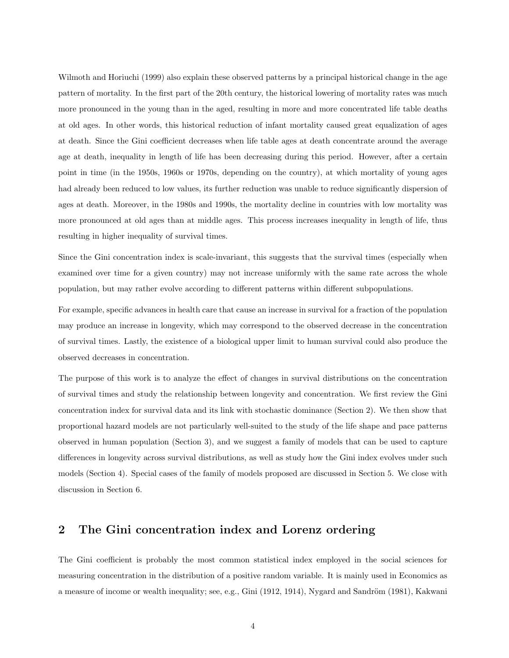Wilmoth and Horiuchi (1999) also explain these observed patterns by a principal historical change in the age pattern of mortality. In the first part of the 20th century, the historical lowering of mortality rates was much more pronounced in the young than in the aged, resulting in more and more concentrated life table deaths at old ages. In other words, this historical reduction of infant mortality caused great equalization of ages at death. Since the Gini coefficient decreases when life table ages at death concentrate around the average age at death, inequality in length of life has been decreasing during this period. However, after a certain point in time (in the 1950s, 1960s or 1970s, depending on the country), at which mortality of young ages had already been reduced to low values, its further reduction was unable to reduce significantly dispersion of ages at death. Moreover, in the 1980s and 1990s, the mortality decline in countries with low mortality was more pronounced at old ages than at middle ages. This process increases inequality in length of life, thus resulting in higher inequality of survival times.

Since the Gini concentration index is scale-invariant, this suggests that the survival times (especially when examined over time for a given country) may not increase uniformly with the same rate across the whole population, but may rather evolve according to different patterns within different subpopulations.

For example, specific advances in health care that cause an increase in survival for a fraction of the population may produce an increase in longevity, which may correspond to the observed decrease in the concentration of survival times. Lastly, the existence of a biological upper limit to human survival could also produce the observed decreases in concentration.

The purpose of this work is to analyze the effect of changes in survival distributions on the concentration of survival times and study the relationship between longevity and concentration. We first review the Gini concentration index for survival data and its link with stochastic dominance (Section 2). We then show that proportional hazard models are not particularly well-suited to the study of the life shape and pace patterns observed in human population (Section 3), and we suggest a family of models that can be used to capture differences in longevity across survival distributions, as well as study how the Gini index evolves under such models (Section 4). Special cases of the family of models proposed are discussed in Section 5. We close with discussion in Section 6.

### 2 The Gini concentration index and Lorenz ordering

The Gini coefficient is probably the most common statistical index employed in the social sciences for measuring concentration in the distribution of a positive random variable. It is mainly used in Economics as a measure of income or wealth inequality; see, e.g., Gini (1912, 1914), Nygard and Sandröm (1981), Kakwani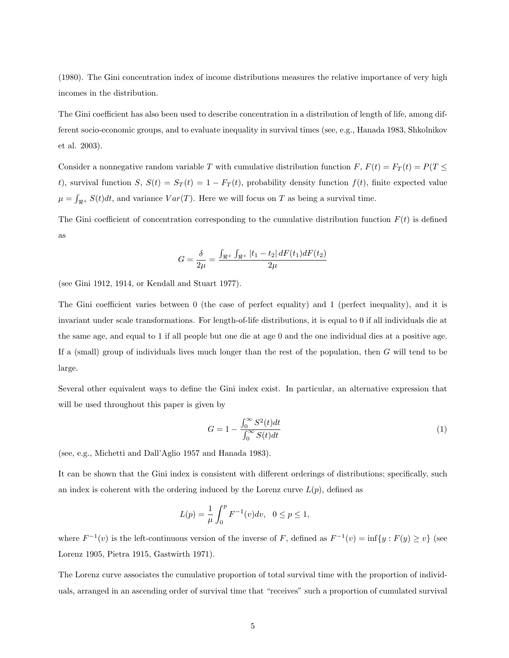(1980). The Gini concentration index of income distributions measures the relative importance of very high incomes in the distribution.

The Gini coefficient has also been used to describe concentration in a distribution of length of life, among different socio-economic groups, and to evaluate inequality in survival times (see, e.g., Hanada 1983, Shkolnikov et al. 2003).

Consider a nonnegative random variable *T* with cumulative distribution function *F*,  $F(t) = F_T(t) = P(T \leq t)$ *t*), survival function *S*,  $S(t) = S_T(t) = 1 - F_T(t)$ , probability density function  $f(t)$ , finite expected value  $\mu = \int_{\Re^+} S(t) dt$ , and variance  $Var(T)$ . Here we will focus on *T* as being a survival time.

The Gini coefficient of concentration corresponding to the cumulative distribution function  $F(t)$  is defined as

$$
G = \frac{\delta}{2\mu} = \frac{\int_{\Re^+} \int_{\Re^+} |t_1 - t_2| \, dF(t_1) dF(t_2)}{2\mu}
$$

(see Gini 1912, 1914, or Kendall and Stuart 1977).

The Gini coefficient varies between  $0$  (the case of perfect equality) and 1 (perfect inequality), and it is invariant under scale transformations. For length-of-life distributions, it is equal to 0 if all individuals die at the same age, and equal to 1 if all people but one die at age 0 and the one individual dies at a positive age. If a (small) group of individuals lives much longer than the rest of the population, then *G* will tend to be large.

Several other equivalent ways to define the Gini index exist. In particular, an alternative expression that will be used throughout this paper is given by

$$
G = 1 - \frac{\int_0^\infty S^2(t)dt}{\int_0^\infty S(t)dt}
$$
\n(1)

(see, e.g., Michetti and Dall'Aglio 1957 and Hanada 1983).

It can be shown that the Gini index is consistent with different orderings of distributions; specifically, such an index is coherent with the ordering induced by the Lorenz curve  $L(p)$ , defined as

$$
L(p) = \frac{1}{\mu} \int_0^p F^{-1}(v) dv, \quad 0 \le p \le 1,
$$

where  $F^{-1}(v)$  is the left-continuous version of the inverse of *F*, defined as  $F^{-1}(v) = \inf\{y : F(y) \ge v\}$  (see Lorenz 1905, Pietra 1915, Gastwirth 1971).

The Lorenz curve associates the cumulative proportion of total survival time with the proportion of individuals, arranged in an ascending order of survival time that "receives" such a proportion of cumulated survival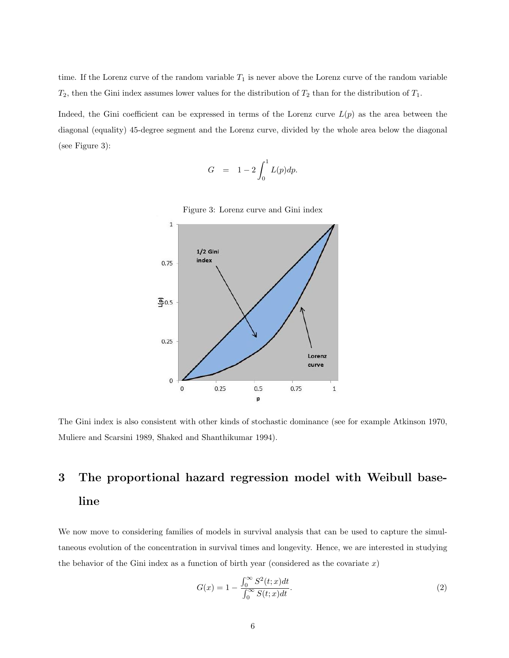time. If the Lorenz curve of the random variable  $T_1$  is never above the Lorenz curve of the random variable  $T_2$ , then the Gini index assumes lower values for the distribution of  $T_2$  than for the distribution of  $T_1$ .

Indeed, the Gini coefficient can be expressed in terms of the Lorenz curve  $L(p)$  as the area between the diagonal (equality) 45-degree segment and the Lorenz curve, divided by the whole area below the diagonal (see Figure 3):

$$
G \;\; = \;\; 1-2 \int_0^1 L(p) dp.
$$



Figure 3: Lorenz curve and Gini index

The Gini index is also consistent with other kinds of stochastic dominance (see for example Atkinson 1970, Muliere and Scarsini 1989, Shaked and Shanthikumar 1994).

## 3 The proportional hazard regression model with Weibull baseline

We now move to considering families of models in survival analysis that can be used to capture the simultaneous evolution of the concentration in survival times and longevity. Hence, we are interested in studying the behavior of the Gini index as a function of birth year (considered as the covariate *x*)

$$
G(x) = 1 - \frac{\int_0^\infty S^2(t; x)dt}{\int_0^\infty S(t; x)dt}.
$$
\n
$$
(2)
$$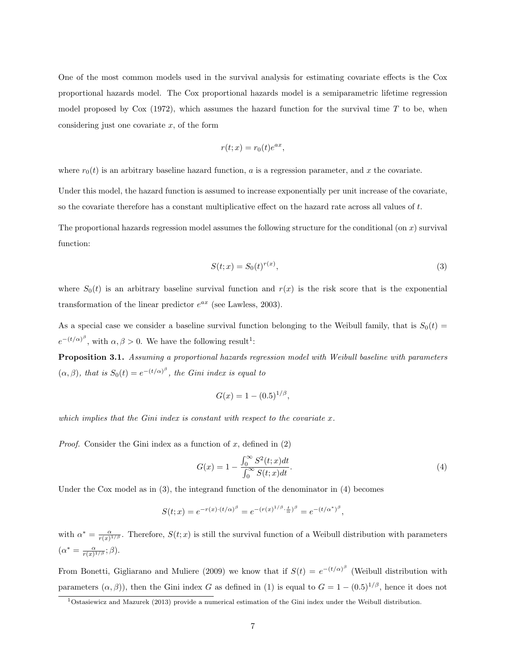One of the most common models used in the survival analysis for estimating covariate effects is the Cox proportional hazards model. The Cox proportional hazards model is a semiparametric lifetime regression model proposed by  $\text{Cox}$  (1972), which assumes the hazard function for the survival time  $T$  to be, when considering just one covariate *x*, of the form

$$
r(t; x) = r_0(t)e^{ax},
$$

where  $r_0(t)$  is an arbitrary baseline hazard function, *a* is a regression parameter, and *x* the covariate.

Under this model, the hazard function is assumed to increase exponentially per unit increase of the covariate, so the covariate therefore has a constant multiplicative effect on the hazard rate across all values of t.

The proportional hazards regression model assumes the following structure for the conditional (on *x*) survival function:

$$
S(t; x) = S_0(t)^{r(x)},
$$
\n(3)

where  $S_0(t)$  is an arbitrary baseline survival function and  $r(x)$  is the risk score that is the exponential transformation of the linear predictor *eax* (see Lawless, 2003).

As a special case we consider a baseline survival function belonging to the Weibull family, that is  $S_0(t)$  $e^{-(t/\alpha)^\beta}$ , with  $\alpha, \beta > 0$ . We have the following result<sup>1</sup>:

Proposition 3.1. *Assuming a proportional hazards regression model with Weibull baseline with parameters*  $(\alpha, \beta)$ , that is  $S_0(t) = e^{-(t/\alpha)^\beta}$ , the Gini index is equal to

$$
G(x) = 1 - (0.5)^{1/\beta},
$$

*which implies that the Gini index is constant with respect to the covariate x.*

*Proof.* Consider the Gini index as a function of *x*, defined in (2)

$$
G(x) = 1 - \frac{\int_0^\infty S^2(t; x)dt}{\int_0^\infty S(t; x)dt}.
$$
\n
$$
(4)
$$

Under the Cox model as in (3), the integrand function of the denominator in (4) becomes

$$
S(t; x) = e^{-r(x)\cdot (t/\alpha)^{\beta}} = e^{-(r(x)^{1/\beta} \cdot \frac{t}{\alpha})^{\beta}} = e^{-(t/\alpha^*)^{\beta}},
$$

with  $\alpha^* = \frac{\alpha}{r(x)^{1/\beta}}$ . Therefore,  $S(t; x)$  is still the survival function of a Weibull distribution with parameters  $(\alpha^* = \frac{\alpha}{r(x)^{1/\beta}}; \beta).$ 

From Bonetti, Gigliarano and Muliere (2009) we know that if  $S(t) = e^{-(t/\alpha)^{\beta}}$  (Weibull distribution with parameters  $(\alpha, \beta)$ , then the Gini index *G* as defined in (1) is equal to  $G = 1 - (0.5)^{1/\beta}$ , hence it does not

<sup>1</sup>Ostasiewicz and Mazurek (2013) provide a numerical estimation of the Gini index under the Weibull distribution.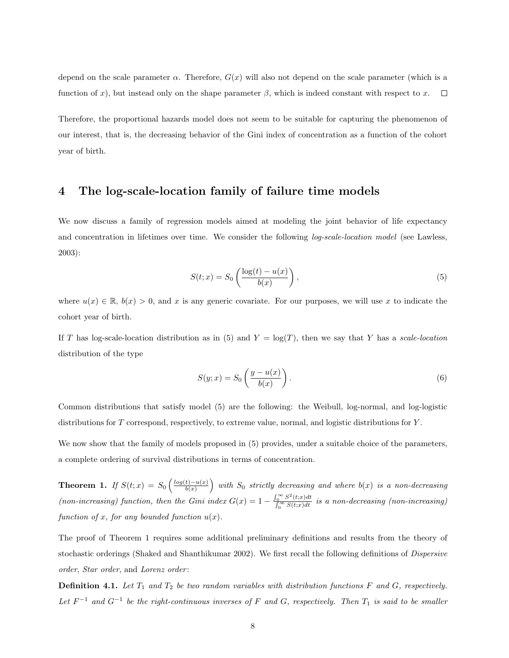depend on the scale parameter  $\alpha$ . Therefore,  $G(x)$  will also not depend on the scale parameter (which is a function of x), but instead only on the shape parameter  $\beta$ , which is indeed constant with respect to x.  $\Box$ 

Therefore, the proportional hazards model does not seem to be suitable for capturing the phenomenon of our interest, that is, the decreasing behavior of the Gini index of concentration as a function of the cohort year of birth.

#### 4 The log-scale-location family of failure time models

We now discuss a family of regression models aimed at modeling the joint behavior of life expectancy and concentration in lifetimes over time. We consider the following *log-scale-location model* (see Lawless, 2003):

$$
S(t;x) = S_0 \left( \frac{\log(t) - u(x)}{b(x)} \right),\tag{5}
$$

where  $u(x) \in \mathbb{R}$ ,  $b(x) > 0$ , and x is any generic covariate. For our purposes, we will use x to indicate the cohort year of birth.

If *T* has log-scale-location distribution as in (5) and  $Y = \log(T)$ , then we say that *Y* has a *scale-location* distribution of the type

$$
S(y; x) = S_0 \left( \frac{y - u(x)}{b(x)} \right). \tag{6}
$$

Common distributions that satisfy model (5) are the following: the Weibull, log-normal, and log-logistic distributions for *T* correspond, respectively, to extreme value, normal, and logistic distributions for *Y* .

We now show that the family of models proposed in  $(5)$  provides, under a suitable choice of the parameters, a complete ordering of survival distributions in terms of concentration.

**Theorem 1.** *If*  $S(t; x) = S_0 \left( \frac{log(t) - u(x)}{b(x)} \right)$  $\int$  *with*  $S_0$  *strictly decreasing and where*  $b(x)$  *is a non-decreasing (non-increasing) function, then the Gini index*  $G(x) = 1 - \frac{\int_0^\infty S^2(t;x)dt}{\int_0^\infty S(t;x)dt}$  is a non-decreasing (non-increasing) *function of x, for any bounded function*  $u(x)$ *.* 

The proof of Theorem 1 requires some additional preliminary definitions and results from the theory of stochastic orderings (Shaked and Shanthikumar 2002). We first recall the following definitions of *Dispersive order*, *Star order*, and *Lorenz order* :

Definition 4.1. *Let T*<sup>1</sup> *and T*<sup>2</sup> *be two random variables with distribution functions F and G, respectively.* Let  $F^{-1}$  and  $G^{-1}$  be the right-continuous inverses of  $F$  and  $G$ , respectively. Then  $T_1$  is said to be smaller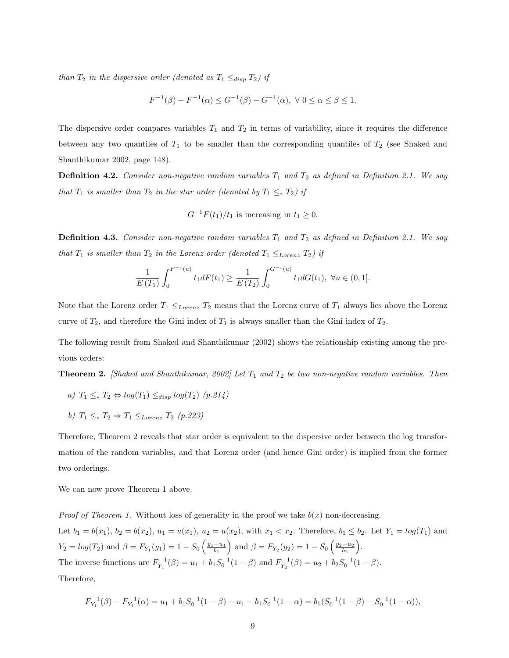*than*  $T_2$  *in the dispersive order (denoted as*  $T_1 \leq_{disp} T_2$ *) if* 

$$
F^{-1}(\beta) - F^{-1}(\alpha) \le G^{-1}(\beta) - G^{-1}(\alpha), \ \forall \ 0 \le \alpha \le \beta \le 1.
$$

The dispersive order compares variables  $T_1$  and  $T_2$  in terms of variability, since it requires the difference between any two quantiles of  $T_1$  to be smaller than the corresponding quantiles of  $T_2$  (see Shaked and Shanthikumar 2002, page 148).

Definition 4.2. *Consider non-negative random variables T*<sup>1</sup> *and T*<sup>2</sup> *as defined in Definition 2.1. We say that*  $T_1$  *is smaller than*  $T_2$  *in the star order (denoted by*  $T_1 \leq_* T_2$ ) *if* 

$$
G^{-1}F(t_1)/t_1
$$
 is increasing in  $t_1 \ge 0$ .

Definition 4.3. *Consider non-negative random variables T*<sup>1</sup> *and T*<sup>2</sup> *as defined in Definition 2.1. We say that*  $T_1$  *is smaller than*  $T_2$  *in the Lorenz order (denoted*  $T_1 \leq_{Lorenz} T_2$ ) *if* 

$$
\frac{1}{E(T_1)} \int_0^{F^{-1}(u)} t_1 dF(t_1) \ge \frac{1}{E(T_2)} \int_0^{G^{-1}(u)} t_1 dG(t_1), \ \forall u \in (0,1].
$$

Note that the Lorenz order  $T_1 \leq_{Lorenz} T_2$  means that the Lorenz curve of  $T_1$  always lies above the Lorenz curve of  $T_2$ , and therefore the Gini index of  $T_1$  is always smaller than the Gini index of  $T_2$ .

The following result from Shaked and Shanthikumar (2002) shows the relationship existing among the previous orders:

Theorem 2. *[Shaked and Shanthikumar, 2002] Let T*<sup>1</sup> *and T*<sup>2</sup> *be two non-negative random variables. Then*

a) 
$$
T_1 \leq_* T_2 \Leftrightarrow \log(T_1) \leq_{disp} \log(T_2)
$$
 (p.214)  
b)  $T_1 \leq_* T_2 \Rightarrow T_1 \leq_{Lorenz} T_2$  (p.223)

Therefore, Theorem 2 reveals that star order is equivalent to the dispersive order between the log transformation of the random variables, and that Lorenz order (and hence Gini order) is implied from the former two orderings.

We can now prove Theorem 1 above.

*Proof of Theorem 1.* Without loss of generality in the proof we take  $b(x)$  non-decreasing. Let  $b_1 = b(x_1)$ ,  $b_2 = b(x_2)$ ,  $u_1 = u(x_1)$ ,  $u_2 = u(x_2)$ , with  $x_1 < x_2$ . Therefore,  $b_1 \leq b_2$ . Let  $Y_1 = log(T_1)$  and  $Y_2 = log(T_2)$  and  $\beta = F_{Y_1}(y_1) = 1 - S_0 \left( \frac{y_1 - u_1}{b_1} \right)$  $\int$  and  $\beta = F_{Y_2}(y_2) = 1 - S_0 \left( \frac{y_2 - u_2}{b_2} \right)$  $\big).$ The inverse functions are  $F_{Y_1}^{-1}(\beta) = u_1 + b_1 S_0^{-1}(1-\beta)$  and  $F_{Y_2}^{-1}(\beta) = u_2 + b_2 S_0^{-1}(1-\beta)$ . Therefore,

$$
F_{Y_1}^{-1}(\beta) - F_{Y_1}^{-1}(\alpha) = u_1 + b_1 S_0^{-1} (1 - \beta) - u_1 - b_1 S_0^{-1} (1 - \alpha) = b_1 (S_0^{-1} (1 - \beta) - S_0^{-1} (1 - \alpha)),
$$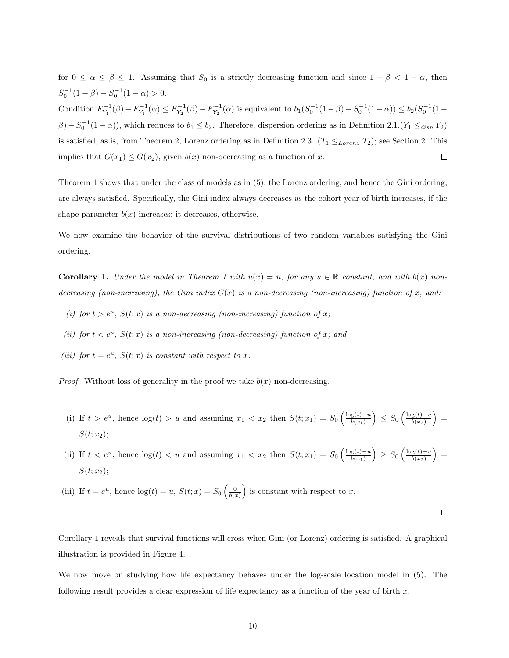for  $0 \le \alpha \le \beta \le 1$ . Assuming that  $S_0$  is a strictly decreasing function and since  $1 - \beta < 1 - \alpha$ , then  $S_0^{-1}(1 - \beta) - S_0^{-1}(1 - \alpha) > 0.$ 

Condition  $F_{Y_1}^{-1}(\beta) - F_{Y_1}^{-1}(\alpha) \leq F_{Y_2}^{-1}(\beta) - F_{Y_2}^{-1}(\alpha)$  is equivalent to  $b_1(S_0^{-1}(1-\beta) - S_0^{-1}(1-\alpha)) \leq b_2(S_0^{-1}(1-\alpha))$  $\beta$ )  $-S_0^{-1}(1-\alpha)$ , which reduces to  $b_1 \leq b_2$ . Therefore, dispersion ordering as in Definition 2.1.(*Y*<sub>1</sub>  $\leq$ <sub>disp</sub> *Y*<sub>2</sub>) is satisfied, as is, from Theorem 2, Lorenz ordering as in Definition 2.3. (*T*<sup>1</sup> *Lorenz T*2); see Section 2. This implies that  $G(x_1) \leq G(x_2)$ , given  $b(x)$  non-decreasing as a function of *x*.  $\Box$ 

Theorem 1 shows that under the class of models as in (5), the Lorenz ordering, and hence the Gini ordering, are always satisfied. Specifically, the Gini index always decreases as the cohort year of birth increases, if the shape parameter  $b(x)$  increases; it decreases, otherwise.

We now examine the behavior of the survival distributions of two random variables satisfying the Gini ordering.

**Corollary 1.** Under the model in Theorem 1 with  $u(x) = u$ , for any  $u \in \mathbb{R}$  constant, and with  $b(x)$  non*decreasing (non-increasing), the Gini index*  $G(x)$  *is a non-decreasing (non-increasing) function of*  $x$ *, and:* 

- (*i*) for  $t > e^u$ ,  $S(t; x)$  *is a non-decreasing (non-increasing) function of <i>x*;
- *(ii)* for  $t < e^u$ ,  $S(t; x)$  *is a non-increasing (non-decreasing) function of x*; and
- *(iii)* for  $t = e^u$ ,  $S(t; x)$  *is constant with respect to x.*

*Proof.* Without loss of generality in the proof we take  $b(x)$  non-decreasing.

- (i) If  $t > e^u$ , hence  $\log(t) > u$  and assuming  $x_1 < x_2$  then  $S(t; x_1) = S_0 \left( \frac{\log(t) u}{b(x_1)} \right)$  $\left( \frac{\log(t) - u}{b(x_2)} \right)$  $=$  $S(t; x_2);$
- (ii) If  $t < e^u$ , hence  $\log(t) < u$  and assuming  $x_1 < x_2$  then  $S(t; x_1) = S_0 \left( \frac{\log(t) u}{b(x_1)} \right)$  $\left( \frac{\log(t) - u}{b(x_2)} \right)$  $=$  $S(t; x_2);$
- (iii) If  $t = e^u$ , hence  $\log(t) = u$ ,  $S(t; x) = S_0 \left( \frac{0}{b(x)} \right)$ ) is constant with respect to  $x$ .

 $\Box$ 

Corollary 1 reveals that survival functions will cross when Gini (or Lorenz) ordering is satisfied. A graphical illustration is provided in Figure 4.

We now move on studying how life expectancy behaves under the log-scale location model in (5). The following result provides a clear expression of life expectancy as a function of the year of birth *x*.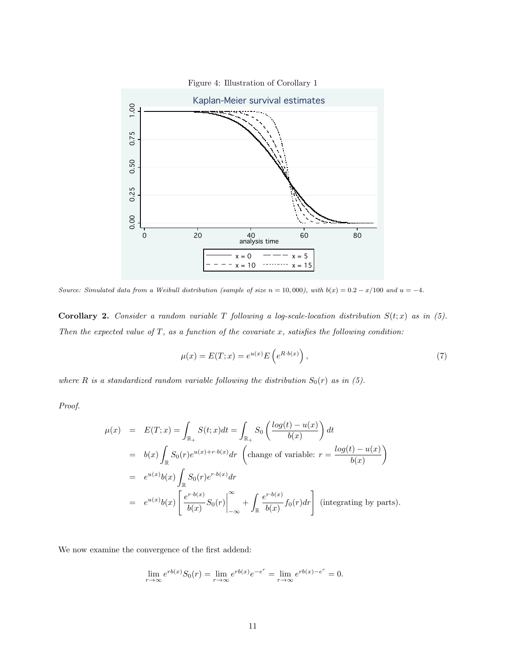

*Source: Simulated data from a Weibull distribution (sample of size*  $n = 10,000$ ), with  $b(x) = 0.2 - x/100$  and  $u = -4$ .

**Corollary 2.** *Consider a random variable T following a log-scale-location distribution*  $S(t; x)$  *as in* (5). *Then the expected value of T, as a function of the covariate x, satisfies the following condition:*

$$
\mu(x) = E(T; x) = e^{u(x)} E\left(e^{R \cdot b(x)}\right),\tag{7}
$$

*where*  $R$  *is a standardized random variable following the distribution*  $S_0(r)$  *as in* (5).

*Proof.*

$$
\mu(x) = E(T; x) = \int_{\mathbb{R}_+} S(t; x) dt = \int_{\mathbb{R}_+} S_0 \left( \frac{\log(t) - u(x)}{b(x)} \right) dt
$$
  
\n
$$
= b(x) \int_{\mathbb{R}} S_0(r) e^{u(x) + r \cdot b(x)} dr \left( \text{change of variable: } r = \frac{\log(t) - u(x)}{b(x)} \right)
$$
  
\n
$$
= e^{u(x)} b(x) \int_{\mathbb{R}} S_0(r) e^{r \cdot b(x)} dr
$$
  
\n
$$
= e^{u(x)} b(x) \left[ \frac{e^{r \cdot b(x)}}{b(x)} S_0(r) \Big|_{-\infty}^{\infty} + \int_{\mathbb{R}} \frac{e^{r \cdot b(x)}}{b(x)} f_0(r) dr \right] \text{ (integrating by parts)}.
$$

We now examine the convergence of the first addend:

$$
\lim_{r \to \infty} e^{rb(x)} S_0(r) = \lim_{r \to \infty} e^{rb(x)} e^{-e^r} = \lim_{r \to \infty} e^{rb(x) - e^r} = 0.
$$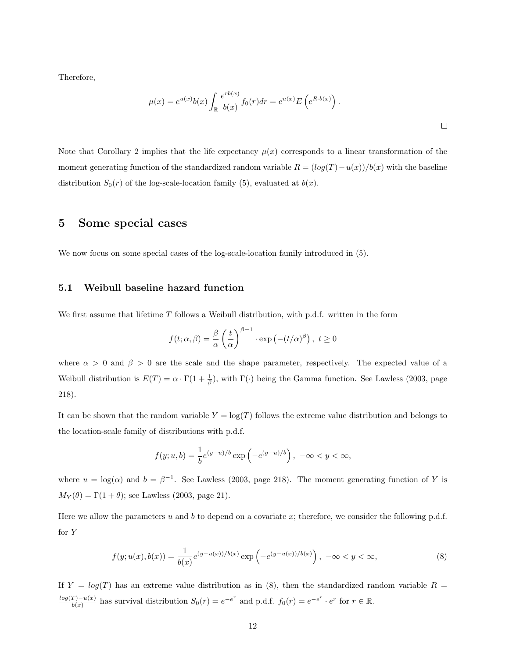Therefore,

$$
\mu(x) = e^{u(x)}b(x) \int_{\mathbb{R}} \frac{e^{rb(x)}}{b(x)} f_0(r) dr = e^{u(x)} E\left(e^{R \cdot b(x)}\right).
$$

Note that Corollary 2 implies that the life expectancy  $\mu(x)$  corresponds to a linear transformation of the moment generating function of the standardized random variable  $R = \frac{log(T) - u(x)}{b(x)}$  with the baseline distribution  $S_0(r)$  of the log-scale-location family (5), evaluated at  $b(x)$ .

#### 5 Some special cases

We now focus on some special cases of the log-scale-location family introduced in (5).

#### 5.1 Weibull baseline hazard function

We first assume that lifetime *T* follows a Weibull distribution, with p.d.f. written in the form

$$
f(t; \alpha, \beta) = \frac{\beta}{\alpha} \left(\frac{t}{\alpha}\right)^{\beta - 1} \cdot \exp\left(-(t/\alpha)^{\beta}\right), \ t \ge 0
$$

where  $\alpha > 0$  and  $\beta > 0$  are the scale and the shape parameter, respectively. The expected value of a Weibull distribution is  $E(T) = \alpha \cdot \Gamma(1 + \frac{1}{\beta})$ , with  $\Gamma(\cdot)$  being the Gamma function. See Lawless (2003, page 218).

It can be shown that the random variable  $Y = \log(T)$  follows the extreme value distribution and belongs to the location-scale family of distributions with p.d.f.

$$
f(y; u, b) = \frac{1}{b}e^{(y-u)/b} \exp(-e^{(y-u)/b}), -\infty < y < \infty,
$$

where  $u = \log(\alpha)$  and  $b = \beta^{-1}$ . See Lawless (2003, page 218). The moment generating function of *Y* is  $M_Y(\theta) = \Gamma(1 + \theta)$ ; see Lawless (2003, page 21).

Here we allow the parameters *u* and *b* to depend on a covariate *x*; therefore, we consider the following p.d.f. for *Y*

$$
f(y; u(x), b(x)) = \frac{1}{b(x)} e^{(y - u(x))/b(x)} \exp\left(-e^{(y - u(x))/b(x)}\right), \ -\infty < y < \infty,\tag{8}
$$

If  $Y = log(T)$  has an extreme value distribution as in (8), then the standardized random variable  $R =$  $\frac{\log(T)-u(x)}{b(x)}$  has survival distribution  $S_0(r) = e^{-e^r}$  and p.d.f.  $f_0(r) = e^{-e^r} \cdot e^r$  for  $r \in \mathbb{R}$ .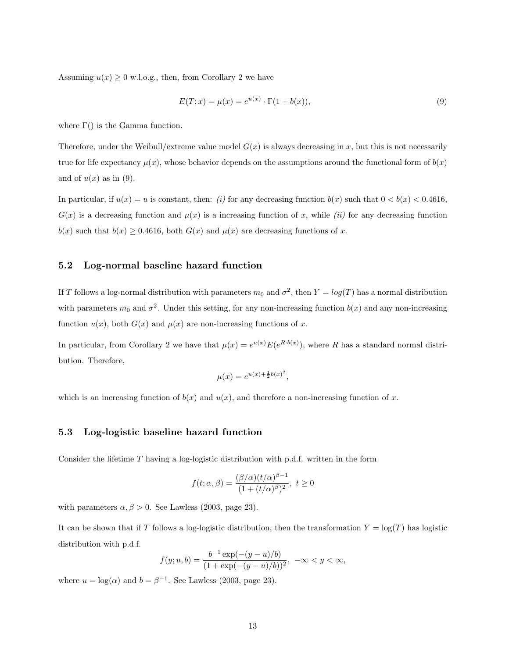Assuming  $u(x) \geq 0$  w.l.o.g., then, from Corollary 2 we have

$$
E(T; x) = \mu(x) = e^{u(x)} \cdot \Gamma(1 + b(x)),
$$
\n(9)

where  $\Gamma$ () is the Gamma function.

Therefore, under the Weibull/extreme value model  $G(x)$  is always decreasing in x, but this is not necessarily true for life expectancy  $\mu(x)$ , whose behavior depends on the assumptions around the functional form of  $b(x)$ and of  $u(x)$  as in (9).

In particular, if  $u(x) = u$  is constant, then: *(i)* for any decreasing function  $b(x)$  such that  $0 < b(x) < 0.4616$ ,  $G(x)$  is a decreasing function and  $\mu(x)$  is a increasing function of *x*, while *(ii)* for any decreasing function  $b(x)$  such that  $b(x) \geq 0.4616$ , both  $G(x)$  and  $\mu(x)$  are decreasing functions of *x*.

#### 5.2 Log-normal baseline hazard function

If *T* follows a log-normal distribution with parameters  $m_0$  and  $\sigma^2$ , then  $Y = log(T)$  has a normal distribution with parameters  $m_0$  and  $\sigma^2$ . Under this setting, for any non-increasing function  $b(x)$  and any non-increasing function  $u(x)$ , both  $G(x)$  and  $\mu(x)$  are non-increasing functions of *x*.

In particular, from Corollary 2 we have that  $\mu(x) = e^{u(x)} E(e^{R \cdot b(x)})$ , where *R* has a standard normal distribution. Therefore,

$$
\mu(x) = e^{u(x) + \frac{1}{2}b(x)^2},
$$

which is an increasing function of  $b(x)$  and  $u(x)$ , and therefore a non-increasing function of x.

#### 5.3 Log-logistic baseline hazard function

Consider the lifetime *T* having a log-logistic distribution with p.d.f. written in the form

$$
f(t; \alpha, \beta) = \frac{(\beta/\alpha)(t/\alpha)^{\beta - 1}}{(1 + (t/\alpha)^{\beta})^2}, \ t \ge 0
$$

with parameters  $\alpha, \beta > 0$ . See Lawless (2003, page 23).

It can be shown that if *T* follows a log-logistic distribution, then the transformation  $Y = \log(T)$  has logistic distribution with p.d.f.

$$
f(y; u, b) = \frac{b^{-1} \exp(-(y - u)/b)}{(1 + \exp(-(y - u)/b))^2}, \ -\infty < y < \infty,
$$

where  $u = \log(\alpha)$  and  $b = \beta^{-1}$ . See Lawless (2003, page 23).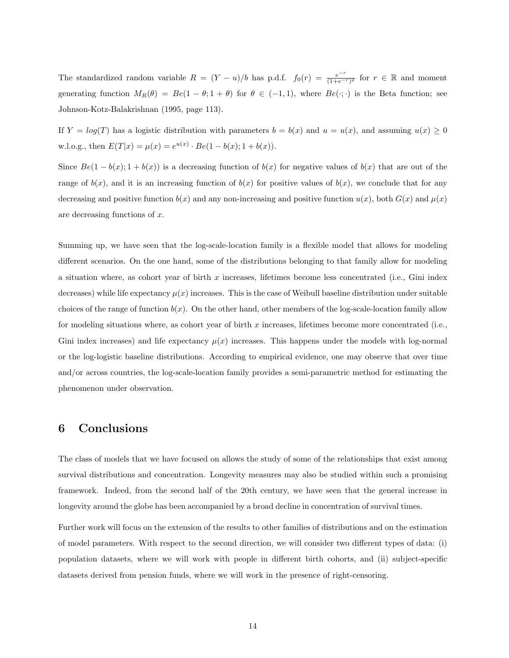The standardized random variable  $R = (Y - u)/b$  has p.d.f.  $f_0(r) = \frac{e^{-r}}{(1 + e^{-r})^2}$  for  $r \in \mathbb{R}$  and moment generating function  $M_R(\theta) = Be(1-\theta; 1+\theta)$  for  $\theta \in (-1,1)$ , where  $Be(\cdot;\cdot)$  is the Beta function; see Johnson-Kotz-Balakrishnan (1995, page 113).

If  $Y = log(T)$  has a logistic distribution with parameters  $b = b(x)$  and  $u = u(x)$ , and assuming  $u(x) \ge 0$ w.l.o.g., then  $E(T|x) = \mu(x) = e^{u(x)} \cdot Be(1 - b(x); 1 + b(x)).$ 

Since  $Be(1 - b(x); 1 + b(x))$  is a decreasing function of  $b(x)$  for negative values of  $b(x)$  that are out of the range of  $b(x)$ , and it is an increasing function of  $b(x)$  for positive values of  $b(x)$ , we conclude that for any decreasing and positive function  $b(x)$  and any non-increasing and positive function  $u(x)$ , both  $G(x)$  and  $\mu(x)$ are decreasing functions of *x*.

Summing up, we have seen that the log-scale-location family is a flexible model that allows for modeling different scenarios. On the one hand, some of the distributions belonging to that family allow for modeling a situation where, as cohort year of birth *x* increases, lifetimes become less concentrated (i.e., Gini index decreases) while life expectancy  $\mu(x)$  increases. This is the case of Weibull baseline distribution under suitable choices of the range of function  $b(x)$ . On the other hand, other members of the log-scale-location family allow for modeling situations where, as cohort year of birth *x* increases, lifetimes become more concentrated (i.e., Gini index increases) and life expectancy  $\mu(x)$  increases. This happens under the models with log-normal or the log-logistic baseline distributions. According to empirical evidence, one may observe that over time and/or across countries, the log-scale-location family provides a semi-parametric method for estimating the phenomenon under observation.

## 6 Conclusions

The class of models that we have focused on allows the study of some of the relationships that exist among survival distributions and concentration. Longevity measures may also be studied within such a promising framework. Indeed, from the second half of the 20th century, we have seen that the general increase in longevity around the globe has been accompanied by a broad decline in concentration of survival times.

Further work will focus on the extension of the results to other families of distributions and on the estimation of model parameters. With respect to the second direction, we will consider two different types of data: (i) population datasets, where we will work with people in different birth cohorts, and (ii) subject-specific datasets derived from pension funds, where we will work in the presence of right-censoring.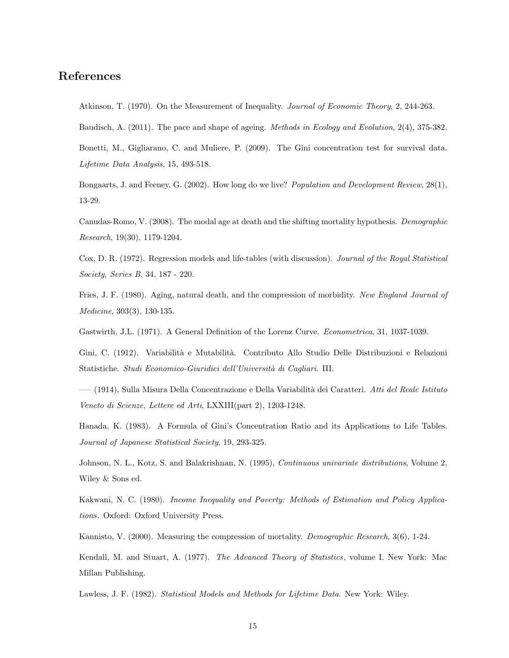### References

Atkinson, T. (1970). On the Measurement of Inequality. *Journal of Economic Theory*, 2, 244-263.

Baudisch, A. (2011). The pace and shape of ageing. *Methods in Ecology and Evolution*, 2(4), 375-382.

Bonetti, M., Gigliarano, C. and Muliere, P. (2009). The Gini concentration test for survival data. *Lifetime Data Analysis*, 15, 493-518.

Bongaarts, J. and Feeney, G. (2002). How long do we live? *Population and Development Review*, 28(1), 13-29.

Canudas-Romo, V. (2008). The modal age at death and the shifting mortality hypothesis. *Demographic Research*, 19(30), 1179-1204.

Cox, D. R. (1972). Regression models and life-tables (with discussion). *Journal of the Royal Statistical Society, Series B*, 34, 187 - 220.

Fries, J. F. (1980). Aging, natural death, and the compression of morbidity. *New England Journal of Medicine*, 303(3), 130-135.

Gastwirth, J.L. (1971). A General Definition of the Lorenz Curve. *Econometrica*, 31, 1037-1039.

Gini, C. (1912). Variabilit`a e Mutabilit`a. Contributo Allo Studio Delle Distribuzioni e Relazioni Statistiche. *Studi Economico-Giuridici dell'Universit`a di Cagliari*. III.

—– (1914), Sulla Misura Della Concentrazione e Della Variabilit`a dei Caratteri. *Atti del Reale Istituto Veneto di Scienze, Lettere ed Arti*, LXXIII(part 2), 1203-1248.

Hanada, K. (1983). A Formula of Gini's Concentration Ratio and its Applications to Life Tables. *Journal of Japanese Statistical Society*, 19, 293-325.

Johnson, N. L., Kotz, S. and Balakrishnan, N. (1995), *Continuous univariate distributions*, Volume 2, Wiley & Sons ed.

Kakwani, N. C. (1980). *Income Inequality and Poverty: Methods of Estimation and Policy Applications*. Oxford: Oxford University Press.

Kannisto, V. (2000). Measuring the compression of mortality. *Demographic Research*, 3(6), 1-24.

Kendall, M. and Stuart, A. (1977). *The Advanced Theory of Statistics*, volume I. New York: Mac Millan Publishing.

Lawless, J. F. (1982). *Statistical Models and Methods for Lifetime Data*. New York: Wiley.